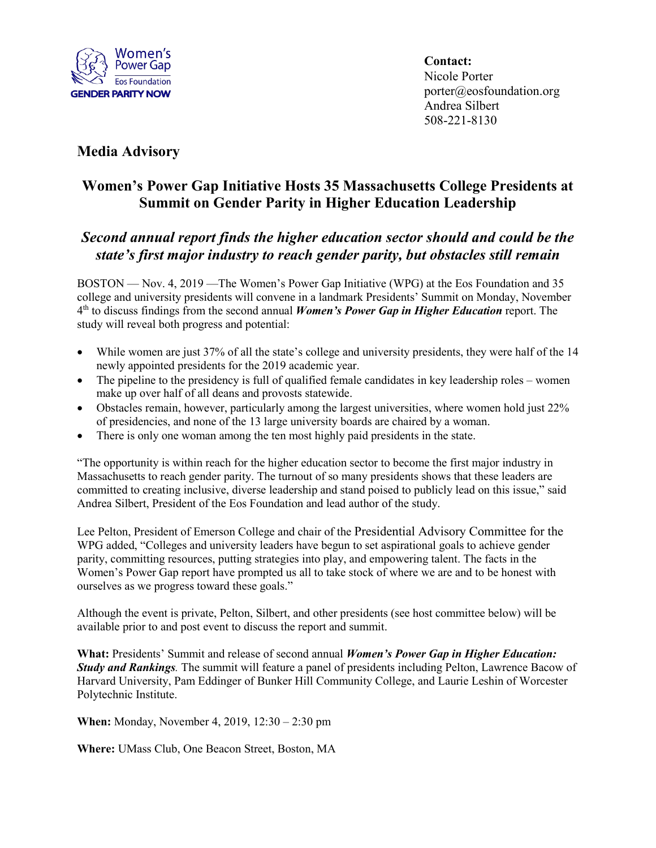

**Contact:** Nicole Porter porter@eosfoundation.org Andrea Silbert 508-221-8130

## **Media Advisory**

## **Women's Power Gap Initiative Hosts 35 Massachusetts College Presidents at Summit on Gender Parity in Higher Education Leadership**

## *Second annual report finds the higher education sector should and could be the state's first major industry to reach gender parity, but obstacles still remain*

BOSTON — Nov. 4, 2019 —The Women's Power Gap Initiative (WPG) at the Eos Foundation and 35 college and university presidents will convene in a landmark Presidents' Summit on Monday, November 4th to discuss findings from the second annual *Women's Power Gap in Higher Education* report. The study will reveal both progress and potential:

- While women are just 37% of all the state's college and university presidents, they were half of the 14 newly appointed presidents for the 2019 academic year.
- The pipeline to the presidency is full of qualified female candidates in key leadership roles women make up over half of all deans and provosts statewide.
- Obstacles remain, however, particularly among the largest universities, where women hold just 22% of presidencies, and none of the 13 large university boards are chaired by a woman.
- There is only one woman among the ten most highly paid presidents in the state.

"The opportunity is within reach for the higher education sector to become the first major industry in Massachusetts to reach gender parity. The turnout of so many presidents shows that these leaders are committed to creating inclusive, diverse leadership and stand poised to publicly lead on this issue," said Andrea Silbert, President of the Eos Foundation and lead author of the study.

Lee Pelton, President of Emerson College and chair of the Presidential Advisory Committee for the WPG added, "Colleges and university leaders have begun to set aspirational goals to achieve gender parity, committing resources, putting strategies into play, and empowering talent. The facts in the Women's Power Gap report have prompted us all to take stock of where we are and to be honest with ourselves as we progress toward these goals."

Although the event is private, Pelton, Silbert, and other presidents (see host committee below) will be available prior to and post event to discuss the report and summit.

**What:** Presidents' Summit and release of second annual *Women's Power Gap in Higher Education: Study and Rankings.* The summit will feature a panel of presidents including Pelton, Lawrence Bacow of Harvard University, Pam Eddinger of Bunker Hill Community College, and Laurie Leshin of Worcester Polytechnic Institute.

**When:** Monday, November 4, 2019, 12:30 – 2:30 pm

**Where:** UMass Club, One Beacon Street, Boston, MA